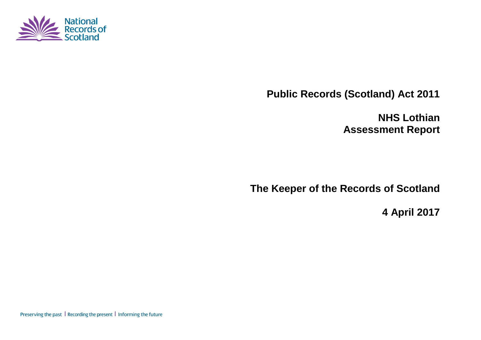

**Public Records (Scotland) Act 2011**

**NHS Lothian Assessment Report**

**The Keeper of the Records of Scotland**

**4 April 2017**

Preserving the past | Recording the present | Informing the future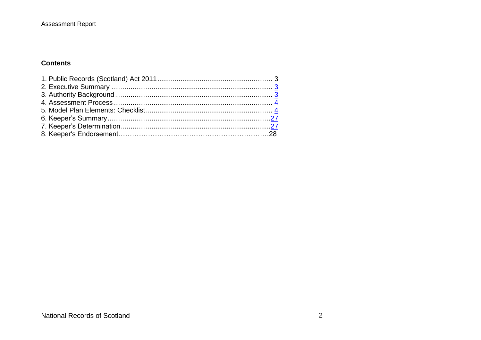#### **Assessment Report**

#### **Contents**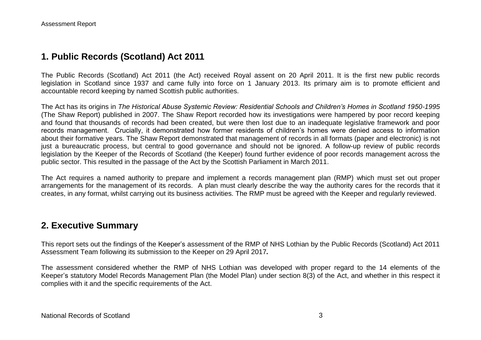## **1. Public Records (Scotland) Act 2011**

The Public Records (Scotland) Act 2011 (the Act) received Royal assent on 20 April 2011. It is the first new public records legislation in Scotland since 1937 and came fully into force on 1 January 2013. Its primary aim is to promote efficient and accountable record keeping by named Scottish public authorities.

The Act has its origins in *The Historical Abuse Systemic Review: Residential Schools and Children's Homes in Scotland 1950-1995* (The Shaw Report) published in 2007. The Shaw Report recorded how its investigations were hampered by poor record keeping and found that thousands of records had been created, but were then lost due to an inadequate legislative framework and poor records management. Crucially, it demonstrated how former residents of children's homes were denied access to information about their formative years. The Shaw Report demonstrated that management of records in all formats (paper and electronic) is not just a bureaucratic process, but central to good governance and should not be ignored. A follow-up review of public records legislation by the Keeper of the Records of Scotland (the Keeper) found further evidence of poor records management across the public sector. This resulted in the passage of the Act by the Scottish Parliament in March 2011.

The Act requires a named authority to prepare and implement a records management plan (RMP) which must set out proper arrangements for the management of its records. A plan must clearly describe the way the authority cares for the records that it creates, in any format, whilst carrying out its business activities. The RMP must be agreed with the Keeper and regularly reviewed.

#### **2. Executive Summary**

This report sets out the findings of the Keeper's assessment of the RMP of NHS Lothian by the Public Records (Scotland) Act 2011 Assessment Team following its submission to the Keeper on 29 April 2017*.*

The assessment considered whether the RMP of NHS Lothian was developed with proper regard to the 14 elements of the Keeper's statutory Model Records Management Plan (the Model Plan) under section 8(3) of the Act, and whether in this respect it complies with it and the specific requirements of the Act.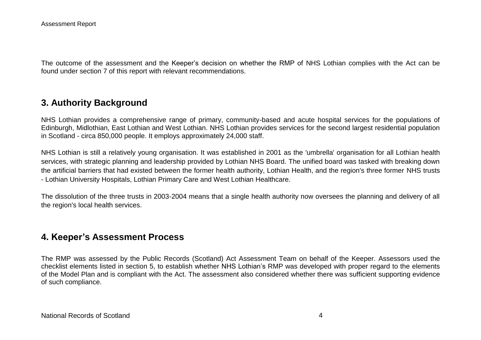The outcome of the assessment and the Keeper's decision on whether the RMP of NHS Lothian complies with the Act can be found under section 7 of this report with relevant recommendations.

## **3. Authority Background**

NHS Lothian provides a comprehensive range of primary, community-based and acute hospital services for the populations of Edinburgh, Midlothian, East Lothian and West Lothian. NHS Lothian provides services for the second largest residential population in Scotland - circa 850,000 people. It employs approximately 24,000 staff.

NHS Lothian is still a relatively young organisation. It was established in 2001 as the 'umbrella' organisation for all Lothian health services, with strategic planning and leadership provided by Lothian NHS Board. The unified board was tasked with breaking down the artificial barriers that had existed between the former health authority, Lothian Health, and the region's three former NHS trusts - Lothian University Hospitals, Lothian Primary Care and West Lothian Healthcare.

The dissolution of the three trusts in 2003-2004 means that a single health authority now oversees the planning and delivery of all the region's local health services.

#### **4. Keeper's Assessment Process**

The RMP was assessed by the Public Records (Scotland) Act Assessment Team on behalf of the Keeper. Assessors used the checklist elements listed in section 5, to establish whether NHS Lothian's RMP was developed with proper regard to the elements of the Model Plan and is compliant with the Act. The assessment also considered whether there was sufficient supporting evidence of such compliance.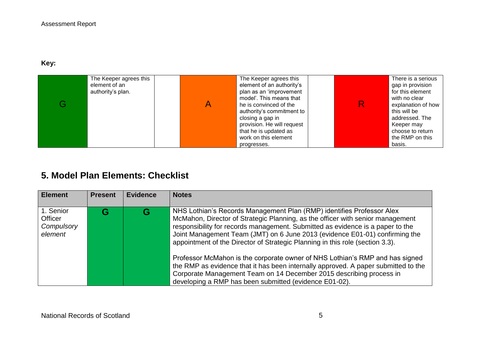### **Key:**

| The Keeper agrees this<br>element of an<br>authority's plan. | The Keeper agrees this<br>element of an authority's<br>plan as an 'improvement<br>model'. This means that<br>he is convinced of the<br>authority's commitment to<br>closing a gap in<br>provision. He will request<br>that he is updated as<br>work on this element | R | There is a serious<br>gap in provision<br>for this element<br>with no clear<br>explanation of how<br>this will be<br>addressed. The<br>Keeper may<br>choose to return<br>the RMP on this |
|--------------------------------------------------------------|---------------------------------------------------------------------------------------------------------------------------------------------------------------------------------------------------------------------------------------------------------------------|---|------------------------------------------------------------------------------------------------------------------------------------------------------------------------------------------|
|                                                              | progresses.                                                                                                                                                                                                                                                         |   | basis.                                                                                                                                                                                   |

# **5. Model Plan Elements: Checklist**

| <b>Element</b>                                | <b>Present</b> | <b>Evidence</b> | <b>Notes</b>                                                                                                                                                                                                                                                                                                                                                                                              |
|-----------------------------------------------|----------------|-----------------|-----------------------------------------------------------------------------------------------------------------------------------------------------------------------------------------------------------------------------------------------------------------------------------------------------------------------------------------------------------------------------------------------------------|
| 1. Senior<br>Officer<br>Compulsory<br>element |                | G               | NHS Lothian's Records Management Plan (RMP) identifies Professor Alex<br>McMahon, Director of Strategic Planning, as the officer with senior management<br>responsibility for records management. Submitted as evidence is a paper to the<br>Joint Management Team (JMT) on 6 June 2013 (evidence E01-01) confirming the<br>appointment of the Director of Strategic Planning in this role (section 3.3). |
|                                               |                |                 | Professor McMahon is the corporate owner of NHS Lothian's RMP and has signed<br>the RMP as evidence that it has been internally approved. A paper submitted to the<br>Corporate Management Team on 14 December 2015 describing process in<br>developing a RMP has been submitted (evidence E01-02).                                                                                                       |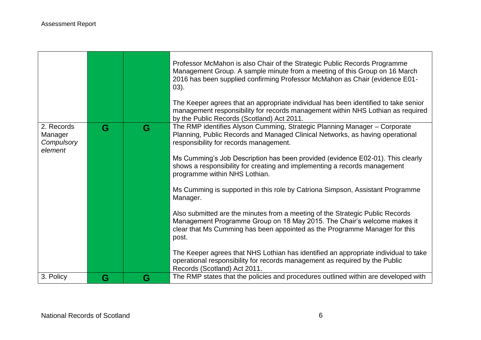|                                                |   |   | Professor McMahon is also Chair of the Strategic Public Records Programme<br>Management Group. A sample minute from a meeting of this Group on 16 March<br>2016 has been supplied confirming Professor McMahon as Chair (evidence E01-<br>$03$ ).<br>The Keeper agrees that an appropriate individual has been identified to take senior<br>management responsibility for records management within NHS Lothian as required<br>by the Public Records (Scotland) Act 2011. |
|------------------------------------------------|---|---|---------------------------------------------------------------------------------------------------------------------------------------------------------------------------------------------------------------------------------------------------------------------------------------------------------------------------------------------------------------------------------------------------------------------------------------------------------------------------|
| 2. Records<br>Manager<br>Compulsory<br>element | G | G | The RMP identifies Alyson Cumming, Strategic Planning Manager - Corporate<br>Planning, Public Records and Managed Clinical Networks, as having operational<br>responsibility for records management.<br>Ms Cumming's Job Description has been provided (evidence E02-01). This clearly<br>shows a responsibility for creating and implementing a records management<br>programme within NHS Lothian.                                                                      |
|                                                |   |   | Ms Cumming is supported in this role by Catriona Simpson, Assistant Programme<br>Manager.                                                                                                                                                                                                                                                                                                                                                                                 |
|                                                |   |   | Also submitted are the minutes from a meeting of the Strategic Public Records<br>Management Programme Group on 18 May 2015. The Chair's welcome makes it<br>clear that Ms Cumming has been appointed as the Programme Manager for this<br>post.                                                                                                                                                                                                                           |
|                                                |   |   | The Keeper agrees that NHS Lothian has identified an appropriate individual to take<br>operational responsibility for records management as required by the Public<br>Records (Scotland) Act 2011.                                                                                                                                                                                                                                                                        |
| 3. Policy                                      | G | G | The RMP states that the policies and procedures outlined within are developed with                                                                                                                                                                                                                                                                                                                                                                                        |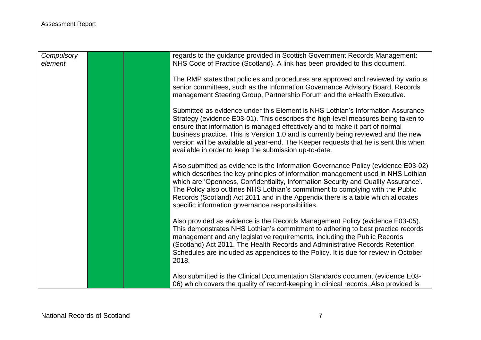| Compulsory<br>element | regards to the guidance provided in Scottish Government Records Management:<br>NHS Code of Practice (Scotland). A link has been provided to this document.                                                                                                                                                                                                                                                                                                                                  |
|-----------------------|---------------------------------------------------------------------------------------------------------------------------------------------------------------------------------------------------------------------------------------------------------------------------------------------------------------------------------------------------------------------------------------------------------------------------------------------------------------------------------------------|
|                       | The RMP states that policies and procedures are approved and reviewed by various<br>senior committees, such as the Information Governance Advisory Board, Records<br>management Steering Group, Partnership Forum and the eHealth Executive.                                                                                                                                                                                                                                                |
|                       | Submitted as evidence under this Element is NHS Lothian's Information Assurance<br>Strategy (evidence E03-01). This describes the high-level measures being taken to<br>ensure that information is managed effectively and to make it part of normal<br>business practice. This is Version 1.0 and is currently being reviewed and the new<br>version will be available at year-end. The Keeper requests that he is sent this when<br>available in order to keep the submission up-to-date. |
|                       | Also submitted as evidence is the Information Governance Policy (evidence E03-02)<br>which describes the key principles of information management used in NHS Lothian<br>which are 'Openness, Confidentiality, Information Security and Quality Assurance'.<br>The Policy also outlines NHS Lothian's commitment to complying with the Public<br>Records (Scotland) Act 2011 and in the Appendix there is a table which allocates<br>specific information governance responsibilities.      |
|                       | Also provided as evidence is the Records Management Policy (evidence E03-05).<br>This demonstrates NHS Lothian's commitment to adhering to best practice records<br>management and any legislative requirements, including the Public Records<br>(Scotland) Act 2011. The Health Records and Administrative Records Retention<br>Schedules are included as appendices to the Policy. It is due for review in October<br>2018.                                                               |
|                       | Also submitted is the Clinical Documentation Standards document (evidence E03-<br>06) which covers the quality of record-keeping in clinical records. Also provided is                                                                                                                                                                                                                                                                                                                      |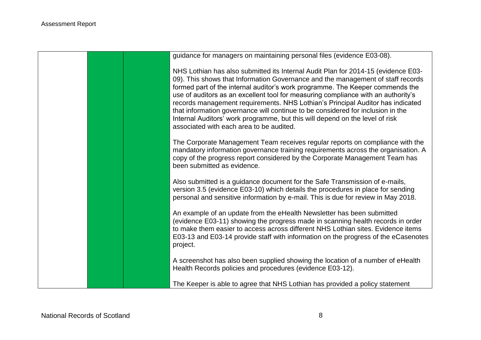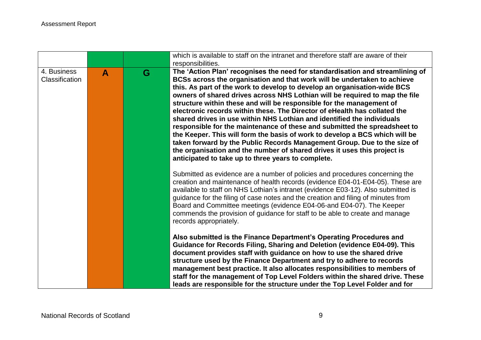|                               |              |   | which is available to staff on the intranet and therefore staff are aware of their<br>responsibilities.                                                                                                                                                                                                                                                                                                                                                                                                                                                                                                                                                                                                                                                                                                                                                                                                                       |
|-------------------------------|--------------|---|-------------------------------------------------------------------------------------------------------------------------------------------------------------------------------------------------------------------------------------------------------------------------------------------------------------------------------------------------------------------------------------------------------------------------------------------------------------------------------------------------------------------------------------------------------------------------------------------------------------------------------------------------------------------------------------------------------------------------------------------------------------------------------------------------------------------------------------------------------------------------------------------------------------------------------|
| 4. Business<br>Classification | $\mathbf{A}$ | G | The 'Action Plan' recognises the need for standardisation and streamlining of<br>BCSs across the organisation and that work will be undertaken to achieve<br>this. As part of the work to develop to develop an organisation-wide BCS<br>owners of shared drives across NHS Lothian will be required to map the file<br>structure within these and will be responsible for the management of<br>electronic records within these. The Director of eHealth has collated the<br>shared drives in use within NHS Lothian and identified the individuals<br>responsible for the maintenance of these and submitted the spreadsheet to<br>the Keeper. This will form the basis of work to develop a BCS which will be<br>taken forward by the Public Records Management Group. Due to the size of<br>the organisation and the number of shared drives it uses this project is<br>anticipated to take up to three years to complete. |
|                               |              |   | Submitted as evidence are a number of policies and procedures concerning the<br>creation and maintenance of health records (evidence E04-01-E04-05). These are<br>available to staff on NHS Lothian's intranet (evidence E03-12). Also submitted is<br>guidance for the filing of case notes and the creation and filing of minutes from<br>Board and Committee meetings (evidence E04-06-and E04-07). The Keeper<br>commends the provision of guidance for staff to be able to create and manage<br>records appropriately.                                                                                                                                                                                                                                                                                                                                                                                                   |
|                               |              |   | Also submitted is the Finance Department's Operating Procedures and<br>Guidance for Records Filing, Sharing and Deletion (evidence E04-09). This<br>document provides staff with guidance on how to use the shared drive<br>structure used by the Finance Department and try to adhere to records<br>management best practice. It also allocates responsibilities to members of<br>staff for the management of Top Level Folders within the shared drive. These<br>leads are responsible for the structure under the Top Level Folder and for                                                                                                                                                                                                                                                                                                                                                                                 |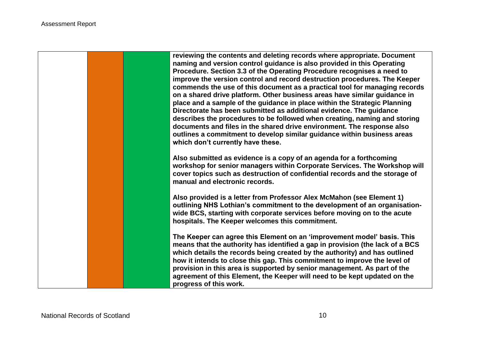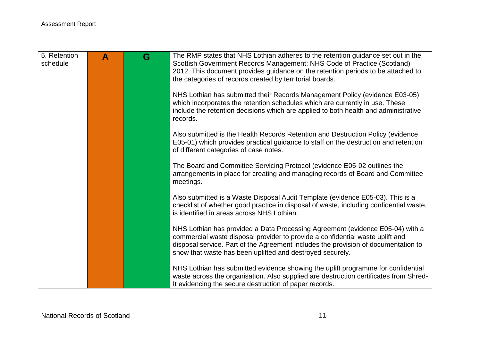| 5. Retention<br>schedule | $\blacktriangle$ | G | The RMP states that NHS Lothian adheres to the retention guidance set out in the<br>Scottish Government Records Management: NHS Code of Practice (Scotland)<br>2012. This document provides guidance on the retention periods to be attached to<br>the categories of records created by territorial boards.       |
|--------------------------|------------------|---|-------------------------------------------------------------------------------------------------------------------------------------------------------------------------------------------------------------------------------------------------------------------------------------------------------------------|
|                          |                  |   | NHS Lothian has submitted their Records Management Policy (evidence E03-05)<br>which incorporates the retention schedules which are currently in use. These<br>include the retention decisions which are applied to both health and administrative<br>records.                                                    |
|                          |                  |   | Also submitted is the Health Records Retention and Destruction Policy (evidence<br>E05-01) which provides practical guidance to staff on the destruction and retention<br>of different categories of case notes.                                                                                                  |
|                          |                  |   | The Board and Committee Servicing Protocol (evidence E05-02 outlines the<br>arrangements in place for creating and managing records of Board and Committee<br>meetings.                                                                                                                                           |
|                          |                  |   | Also submitted is a Waste Disposal Audit Template (evidence E05-03). This is a<br>checklist of whether good practice in disposal of waste, including confidential waste,<br>is identified in areas across NHS Lothian.                                                                                            |
|                          |                  |   | NHS Lothian has provided a Data Processing Agreement (evidence E05-04) with a<br>commercial waste disposal provider to provide a confidential waste uplift and<br>disposal service. Part of the Agreement includes the provision of documentation to<br>show that waste has been uplifted and destroyed securely. |
|                          |                  |   | NHS Lothian has submitted evidence showing the uplift programme for confidential<br>waste across the organisation. Also supplied are destruction certificates from Shred-<br>It evidencing the secure destruction of paper records.                                                                               |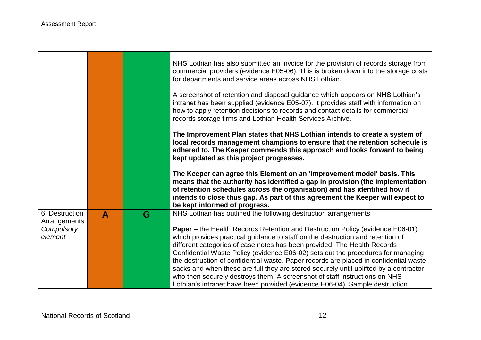m.

 $\blacksquare$ 

|                                |                  |   | NHS Lothian has also submitted an invoice for the provision of records storage from<br>commercial providers (evidence E05-06). This is broken down into the storage costs<br>for departments and service areas across NHS Lothian.                                                                                                                                                                                                                                                                                                                                                                                                                                                    |
|--------------------------------|------------------|---|---------------------------------------------------------------------------------------------------------------------------------------------------------------------------------------------------------------------------------------------------------------------------------------------------------------------------------------------------------------------------------------------------------------------------------------------------------------------------------------------------------------------------------------------------------------------------------------------------------------------------------------------------------------------------------------|
|                                |                  |   | A screenshot of retention and disposal guidance which appears on NHS Lothian's<br>intranet has been supplied (evidence E05-07). It provides staff with information on<br>how to apply retention decisions to records and contact details for commercial<br>records storage firms and Lothian Health Services Archive.                                                                                                                                                                                                                                                                                                                                                                 |
|                                |                  |   | The Improvement Plan states that NHS Lothian intends to create a system of<br>local records management champions to ensure that the retention schedule is<br>adhered to. The Keeper commends this approach and looks forward to being<br>kept updated as this project progresses.                                                                                                                                                                                                                                                                                                                                                                                                     |
|                                |                  |   | The Keeper can agree this Element on an 'improvement model' basis. This<br>means that the authority has identified a gap in provision (the implementation<br>of retention schedules across the organisation) and has identified how it<br>intends to close thus gap. As part of this agreement the Keeper will expect to<br>be kept informed of progress.                                                                                                                                                                                                                                                                                                                             |
| 6. Destruction<br>Arrangements | $\blacktriangle$ | G | NHS Lothian has outlined the following destruction arrangements:                                                                                                                                                                                                                                                                                                                                                                                                                                                                                                                                                                                                                      |
| Compulsory<br>element          |                  |   | <b>Paper</b> – the Health Records Retention and Destruction Policy (evidence E06-01)<br>which provides practical guidance to staff on the destruction and retention of<br>different categories of case notes has been provided. The Health Records<br>Confidential Waste Policy (evidence E06-02) sets out the procedures for managing<br>the destruction of confidential waste. Paper records are placed in confidential waste<br>sacks and when these are full they are stored securely until uplifted by a contractor<br>who then securely destroys them. A screenshot of staff instructions on NHS<br>Lothian's intranet have been provided (evidence E06-04). Sample destruction |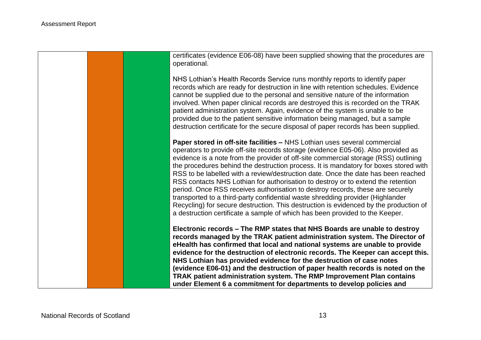certificates (evidence E06-08) have been supplied showing that the procedures are operational. NHS Lothian's Health Records Service runs monthly reports to identify paper records which are ready for destruction in line with retention schedules. Evidence cannot be supplied due to the personal and sensitive nature of the information involved. When paper clinical records are destroyed this is recorded on the TRAK patient administration system. Again, evidence of the system is unable to be provided due to the patient sensitive information being managed, but a sample destruction certificate for the secure disposal of paper records has been supplied. **Paper stored in off-site facilities –** NHS Lothian uses several commercial operators to provide off-site records storage (evidence E05-06). Also provided as

evidence is a note from the provider of off-site commercial storage (RSS) outlining the procedures behind the destruction process. It is mandatory for boxes stored with RSS to be labelled with a review/destruction date. Once the date has been reached RSS contacts NHS Lothian for authorisation to destroy or to extend the retention period. Once RSS receives authorisation to destroy records, these are securely transported to a third-party confidential waste shredding provider (Highlander Recycling) for secure destruction. This destruction is evidenced by the production of a destruction certificate a sample of which has been provided to the Keeper.

**Electronic records – The RMP states that NHS Boards are unable to destroy records managed by the TRAK patient administration system. The Director of eHealth has confirmed that local and national systems are unable to provide evidence for the destruction of electronic records. The Keeper can accept this. NHS Lothian has provided evidence for the destruction of case notes (evidence E06-01) and the destruction of paper health records is noted on the TRAK patient administration system. The RMP Improvement Plan contains under Element 6 a commitment for departments to develop policies and**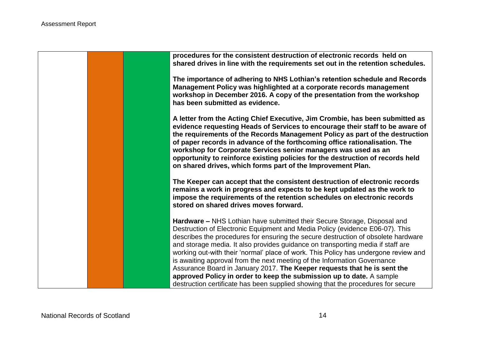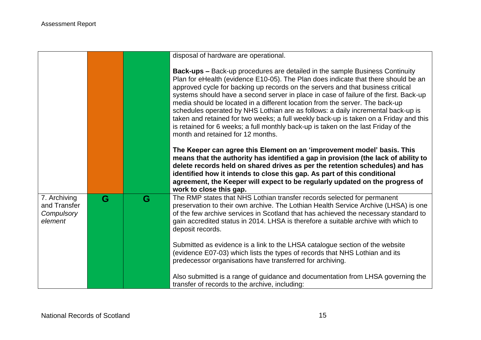|                                                       |   |   | disposal of hardware are operational.                                                                                                                                                                                                                                                                                                                                                                                                                                                                                                                                                                                                                                                                                                         |
|-------------------------------------------------------|---|---|-----------------------------------------------------------------------------------------------------------------------------------------------------------------------------------------------------------------------------------------------------------------------------------------------------------------------------------------------------------------------------------------------------------------------------------------------------------------------------------------------------------------------------------------------------------------------------------------------------------------------------------------------------------------------------------------------------------------------------------------------|
|                                                       |   |   | <b>Back-ups –</b> Back-up procedures are detailed in the sample Business Continuity<br>Plan for eHealth (evidence E10-05). The Plan does indicate that there should be an<br>approved cycle for backing up records on the servers and that business critical<br>systems should have a second server in place in case of failure of the first. Back-up<br>media should be located in a different location from the server. The back-up<br>schedules operated by NHS Lothian are as follows: a daily incremental back-up is<br>taken and retained for two weeks; a full weekly back-up is taken on a Friday and this<br>is retained for 6 weeks; a full monthly back-up is taken on the last Friday of the<br>month and retained for 12 months. |
|                                                       |   |   | The Keeper can agree this Element on an 'improvement model' basis. This<br>means that the authority has identified a gap in provision (the lack of ability to<br>delete records held on shared drives as per the retention schedules) and has<br>identified how it intends to close this gap. As part of this conditional<br>agreement, the Keeper will expect to be regularly updated on the progress of<br>work to close this gap.                                                                                                                                                                                                                                                                                                          |
| 7. Archiving<br>and Transfer<br>Compulsory<br>element | G | G | The RMP states that NHS Lothian transfer records selected for permanent<br>preservation to their own archive. The Lothian Health Service Archive (LHSA) is one<br>of the few archive services in Scotland that has achieved the necessary standard to<br>gain accredited status in 2014. LHSA is therefore a suitable archive with which to<br>deposit records.                                                                                                                                                                                                                                                                                                                                                                               |
|                                                       |   |   | Submitted as evidence is a link to the LHSA catalogue section of the website<br>(evidence E07-03) which lists the types of records that NHS Lothian and its<br>predecessor organisations have transferred for archiving.                                                                                                                                                                                                                                                                                                                                                                                                                                                                                                                      |
|                                                       |   |   | Also submitted is a range of guidance and documentation from LHSA governing the<br>transfer of records to the archive, including:                                                                                                                                                                                                                                                                                                                                                                                                                                                                                                                                                                                                             |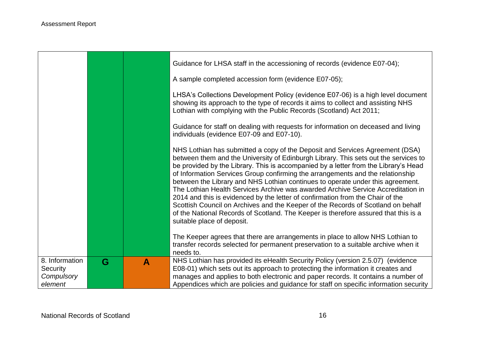|                                                     |   |   | Guidance for LHSA staff in the accessioning of records (evidence E07-04);                                                                                                                                                                                                                                                                                                                                                                                                                                                                                                                                                                                                                                                                                                                                     |
|-----------------------------------------------------|---|---|---------------------------------------------------------------------------------------------------------------------------------------------------------------------------------------------------------------------------------------------------------------------------------------------------------------------------------------------------------------------------------------------------------------------------------------------------------------------------------------------------------------------------------------------------------------------------------------------------------------------------------------------------------------------------------------------------------------------------------------------------------------------------------------------------------------|
|                                                     |   |   | A sample completed accession form (evidence E07-05);                                                                                                                                                                                                                                                                                                                                                                                                                                                                                                                                                                                                                                                                                                                                                          |
|                                                     |   |   | LHSA's Collections Development Policy (evidence E07-06) is a high level document<br>showing its approach to the type of records it aims to collect and assisting NHS<br>Lothian with complying with the Public Records (Scotland) Act 2011;                                                                                                                                                                                                                                                                                                                                                                                                                                                                                                                                                                   |
|                                                     |   |   | Guidance for staff on dealing with requests for information on deceased and living<br>individuals (evidence E07-09 and E07-10).                                                                                                                                                                                                                                                                                                                                                                                                                                                                                                                                                                                                                                                                               |
|                                                     |   |   | NHS Lothian has submitted a copy of the Deposit and Services Agreement (DSA)<br>between them and the University of Edinburgh Library. This sets out the services to<br>be provided by the Library. This is accompanied by a letter from the Library's Head<br>of Information Services Group confirming the arrangements and the relationship<br>between the Library and NHS Lothian continues to operate under this agreement.<br>The Lothian Health Services Archive was awarded Archive Service Accreditation in<br>2014 and this is evidenced by the letter of confirmation from the Chair of the<br>Scottish Council on Archives and the Keeper of the Records of Scotland on behalf<br>of the National Records of Scotland. The Keeper is therefore assured that this is a<br>suitable place of deposit. |
|                                                     |   |   | The Keeper agrees that there are arrangements in place to allow NHS Lothian to<br>transfer records selected for permanent preservation to a suitable archive when it<br>needs to.                                                                                                                                                                                                                                                                                                                                                                                                                                                                                                                                                                                                                             |
| 8. Information<br>Security<br>Compulsory<br>element | G | A | NHS Lothian has provided its eHealth Security Policy (version 2.5.07) (evidence<br>E08-01) which sets out its approach to protecting the information it creates and<br>manages and applies to both electronic and paper records. It contains a number of<br>Appendices which are policies and guidance for staff on specific information security                                                                                                                                                                                                                                                                                                                                                                                                                                                             |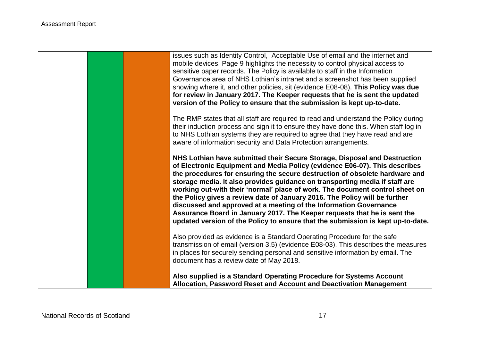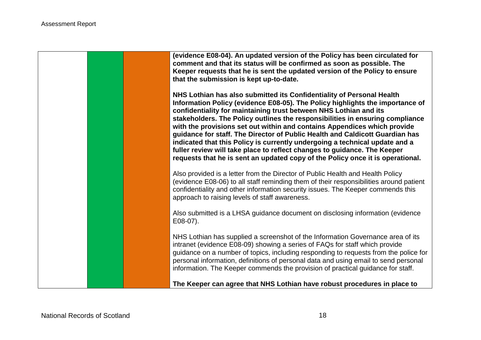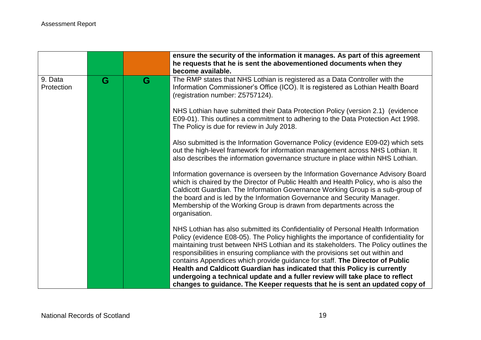|                       |   |   | ensure the security of the information it manages. As part of this agreement<br>he requests that he is sent the abovementioned documents when they<br>become available.                                                                                                                                                                                                                                                                                                                                                                                                                                                                                                         |
|-----------------------|---|---|---------------------------------------------------------------------------------------------------------------------------------------------------------------------------------------------------------------------------------------------------------------------------------------------------------------------------------------------------------------------------------------------------------------------------------------------------------------------------------------------------------------------------------------------------------------------------------------------------------------------------------------------------------------------------------|
| 9. Data<br>Protection | G | G | The RMP states that NHS Lothian is registered as a Data Controller with the<br>Information Commissioner's Office (ICO). It is registered as Lothian Health Board<br>(registration number: Z5757124).                                                                                                                                                                                                                                                                                                                                                                                                                                                                            |
|                       |   |   | NHS Lothian have submitted their Data Protection Policy (version 2.1) (evidence<br>E09-01). This outlines a commitment to adhering to the Data Protection Act 1998.<br>The Policy is due for review in July 2018.                                                                                                                                                                                                                                                                                                                                                                                                                                                               |
|                       |   |   | Also submitted is the Information Governance Policy (evidence E09-02) which sets<br>out the high-level framework for information management across NHS Lothian. It<br>also describes the information governance structure in place within NHS Lothian.                                                                                                                                                                                                                                                                                                                                                                                                                          |
|                       |   |   | Information governance is overseen by the Information Governance Advisory Board<br>which is chaired by the Director of Public Health and Health Policy, who is also the<br>Caldicott Guardian. The Information Governance Working Group is a sub-group of<br>the board and is led by the Information Governance and Security Manager.<br>Membership of the Working Group is drawn from departments across the<br>organisation.                                                                                                                                                                                                                                                  |
|                       |   |   | NHS Lothian has also submitted its Confidentiality of Personal Health Information<br>Policy (evidence E08-05). The Policy highlights the importance of confidentiality for<br>maintaining trust between NHS Lothian and its stakeholders. The Policy outlines the<br>responsibilities in ensuring compliance with the provisions set out within and<br>contains Appendices which provide guidance for staff. The Director of Public<br>Health and Caldicott Guardian has indicated that this Policy is currently<br>undergoing a technical update and a fuller review will take place to reflect<br>changes to guidance. The Keeper requests that he is sent an updated copy of |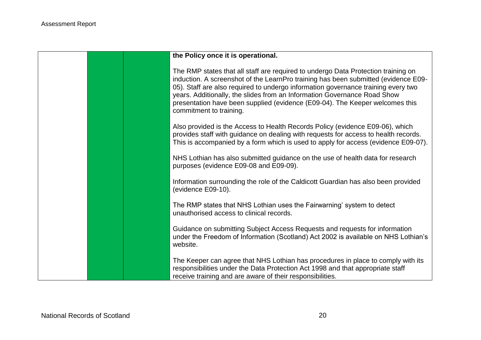|  | the Policy once it is operational.                                                                                                                                                                                                                                                                                                                                                                                                                  |
|--|-----------------------------------------------------------------------------------------------------------------------------------------------------------------------------------------------------------------------------------------------------------------------------------------------------------------------------------------------------------------------------------------------------------------------------------------------------|
|  | The RMP states that all staff are required to undergo Data Protection training on<br>induction. A screenshot of the LearnPro training has been submitted (evidence E09-<br>05). Staff are also required to undergo information governance training every two<br>years. Additionally, the slides from an Information Governance Road Show<br>presentation have been supplied (evidence (E09-04). The Keeper welcomes this<br>commitment to training. |
|  | Also provided is the Access to Health Records Policy (evidence E09-06), which<br>provides staff with guidance on dealing with requests for access to health records.<br>This is accompanied by a form which is used to apply for access (evidence E09-07).                                                                                                                                                                                          |
|  | NHS Lothian has also submitted guidance on the use of health data for research<br>purposes (evidence E09-08 and E09-09).                                                                                                                                                                                                                                                                                                                            |
|  | Information surrounding the role of the Caldicott Guardian has also been provided<br>(evidence E09-10).                                                                                                                                                                                                                                                                                                                                             |
|  | The RMP states that NHS Lothian uses the Fairwarning' system to detect<br>unauthorised access to clinical records.                                                                                                                                                                                                                                                                                                                                  |
|  | Guidance on submitting Subject Access Requests and requests for information<br>under the Freedom of Information (Scotland) Act 2002 is available on NHS Lothian's<br>website.                                                                                                                                                                                                                                                                       |
|  | The Keeper can agree that NHS Lothian has procedures in place to comply with its<br>responsibilities under the Data Protection Act 1998 and that appropriate staff<br>receive training and are aware of their responsibilities.                                                                                                                                                                                                                     |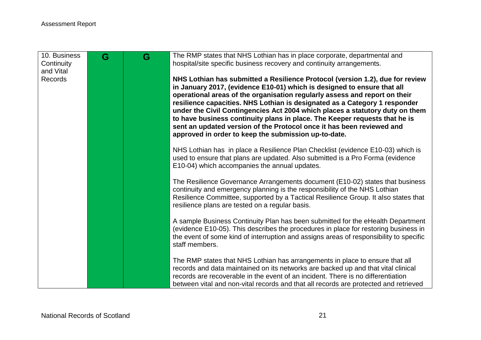| 10. Business<br>Continuity<br>and Vital<br><b>Records</b> | G | G | The RMP states that NHS Lothian has in place corporate, departmental and<br>hospital/site specific business recovery and continuity arrangements.<br>NHS Lothian has submitted a Resilience Protocol (version 1.2), due for review<br>in January 2017, (evidence E10-01) which is designed to ensure that all<br>operational areas of the organisation regularly assess and report on their<br>resilience capacities. NHS Lothian is designated as a Category 1 responder<br>under the Civil Contingencies Act 2004 which places a statutory duty on them |
|-----------------------------------------------------------|---|---|-----------------------------------------------------------------------------------------------------------------------------------------------------------------------------------------------------------------------------------------------------------------------------------------------------------------------------------------------------------------------------------------------------------------------------------------------------------------------------------------------------------------------------------------------------------|
|                                                           |   |   | to have business continuity plans in place. The Keeper requests that he is<br>sent an updated version of the Protocol once it has been reviewed and<br>approved in order to keep the submission up-to-date.                                                                                                                                                                                                                                                                                                                                               |
|                                                           |   |   | NHS Lothian has in place a Resilience Plan Checklist (evidence E10-03) which is<br>used to ensure that plans are updated. Also submitted is a Pro Forma (evidence<br>E10-04) which accompanies the annual updates.                                                                                                                                                                                                                                                                                                                                        |
|                                                           |   |   | The Resilience Governance Arrangements document (E10-02) states that business<br>continuity and emergency planning is the responsibility of the NHS Lothian<br>Resilience Committee, supported by a Tactical Resilience Group. It also states that<br>resilience plans are tested on a regular basis.                                                                                                                                                                                                                                                     |
|                                                           |   |   | A sample Business Continuity Plan has been submitted for the eHealth Department<br>(evidence E10-05). This describes the procedures in place for restoring business in<br>the event of some kind of interruption and assigns areas of responsibility to specific<br>staff members.                                                                                                                                                                                                                                                                        |
|                                                           |   |   | The RMP states that NHS Lothian has arrangements in place to ensure that all<br>records and data maintained on its networks are backed up and that vital clinical<br>records are recoverable in the event of an incident. There is no differentiation<br>between vital and non-vital records and that all records are protected and retrieved                                                                                                                                                                                                             |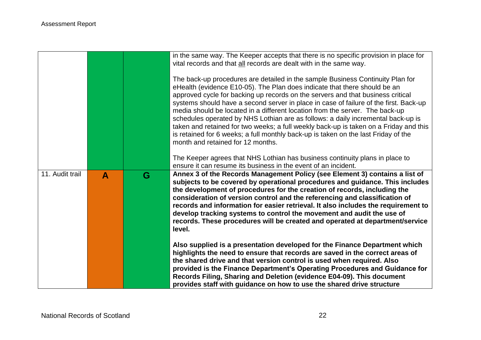|                 |   |   | in the same way. The Keeper accepts that there is no specific provision in place for<br>vital records and that all records are dealt with in the same way.<br>The back-up procedures are detailed in the sample Business Continuity Plan for<br>eHealth (evidence E10-05). The Plan does indicate that there should be an<br>approved cycle for backing up records on the servers and that business critical<br>systems should have a second server in place in case of failure of the first. Back-up<br>media should be located in a different location from the server. The back-up<br>schedules operated by NHS Lothian are as follows: a daily incremental back-up is<br>taken and retained for two weeks; a full weekly back-up is taken on a Friday and this<br>is retained for 6 weeks; a full monthly back-up is taken on the last Friday of the<br>month and retained for 12 months. |
|-----------------|---|---|-----------------------------------------------------------------------------------------------------------------------------------------------------------------------------------------------------------------------------------------------------------------------------------------------------------------------------------------------------------------------------------------------------------------------------------------------------------------------------------------------------------------------------------------------------------------------------------------------------------------------------------------------------------------------------------------------------------------------------------------------------------------------------------------------------------------------------------------------------------------------------------------------|
|                 |   |   | The Keeper agrees that NHS Lothian has business continuity plans in place to<br>ensure it can resume its business in the event of an incident.                                                                                                                                                                                                                                                                                                                                                                                                                                                                                                                                                                                                                                                                                                                                                |
| 11. Audit trail | A | G | Annex 3 of the Records Management Policy (see Element 3) contains a list of<br>subjects to be covered by operational procedures and guidance. This includes<br>the development of procedures for the creation of records, including the<br>consideration of version control and the referencing and classification of<br>records and information for easier retrieval. It also includes the requirement to<br>develop tracking systems to control the movement and audit the use of<br>records. These procedures will be created and operated at department/service<br>level.                                                                                                                                                                                                                                                                                                                 |
|                 |   |   | Also supplied is a presentation developed for the Finance Department which<br>highlights the need to ensure that records are saved in the correct areas of<br>the shared drive and that version control is used when required. Also<br>provided is the Finance Department's Operating Procedures and Guidance for<br>Records Filing, Sharing and Deletion (evidence E04-09). This document<br>provides staff with guidance on how to use the shared drive structure                                                                                                                                                                                                                                                                                                                                                                                                                           |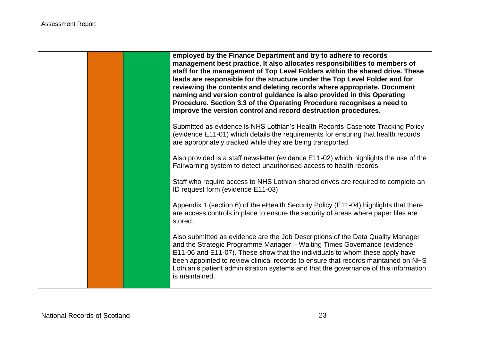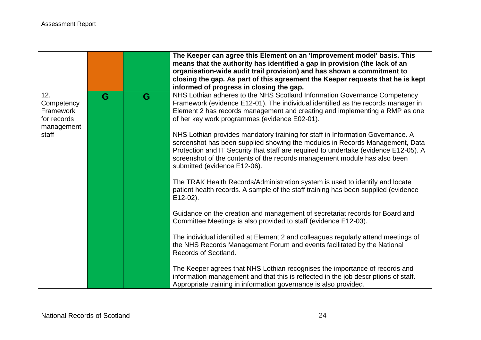|                                                             |   |   | The Keeper can agree this Element on an 'Improvement model' basis. This<br>means that the authority has identified a gap in provision (the lack of an<br>organisation-wide audit trail provision) and has shown a commitment to<br>closing the gap. As part of this agreement the Keeper requests that he is kept<br>informed of progress in closing the gap.       |
|-------------------------------------------------------------|---|---|---------------------------------------------------------------------------------------------------------------------------------------------------------------------------------------------------------------------------------------------------------------------------------------------------------------------------------------------------------------------|
| 12.<br>Competency<br>Framework<br>for records<br>management | G | G | NHS Lothian adheres to the NHS Scotland Information Governance Competency<br>Framework (evidence E12-01). The individual identified as the records manager in<br>Element 2 has records management and creating and implementing a RMP as one<br>of her key work programmes (evidence E02-01).                                                                       |
| staff                                                       |   |   | NHS Lothian provides mandatory training for staff in Information Governance. A<br>screenshot has been supplied showing the modules in Records Management, Data<br>Protection and IT Security that staff are required to undertake (evidence E12-05). A<br>screenshot of the contents of the records management module has also been<br>submitted (evidence E12-06). |
|                                                             |   |   | The TRAK Health Records/Administration system is used to identify and locate<br>patient health records. A sample of the staff training has been supplied (evidence<br>$E12-02$ ).                                                                                                                                                                                   |
|                                                             |   |   | Guidance on the creation and management of secretariat records for Board and<br>Committee Meetings is also provided to staff (evidence E12-03).                                                                                                                                                                                                                     |
|                                                             |   |   | The individual identified at Element 2 and colleagues regularly attend meetings of<br>the NHS Records Management Forum and events facilitated by the National<br>Records of Scotland.                                                                                                                                                                               |
|                                                             |   |   | The Keeper agrees that NHS Lothian recognises the importance of records and<br>information management and that this is reflected in the job descriptions of staff.<br>Appropriate training in information governance is also provided.                                                                                                                              |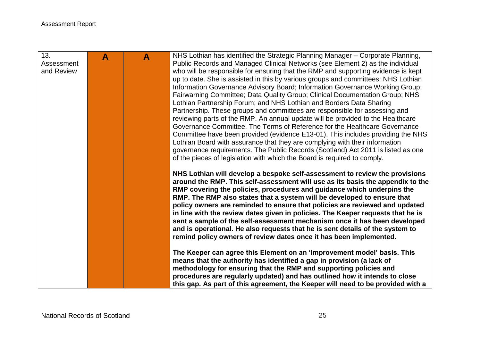| 13.        | A | $\blacktriangle$ | NHS Lothian has identified the Strategic Planning Manager - Corporate Planning,                                                                                |
|------------|---|------------------|----------------------------------------------------------------------------------------------------------------------------------------------------------------|
| Assessment |   |                  | Public Records and Managed Clinical Networks (see Element 2) as the individual                                                                                 |
| and Review |   |                  | who will be responsible for ensuring that the RMP and supporting evidence is kept                                                                              |
|            |   |                  | up to date. She is assisted in this by various groups and committees: NHS Lothian                                                                              |
|            |   |                  | Information Governance Advisory Board; Information Governance Working Group;                                                                                   |
|            |   |                  | Fairwarning Committee; Data Quality Group; Clinical Documentation Group; NHS                                                                                   |
|            |   |                  | Lothian Partnership Forum; and NHS Lothian and Borders Data Sharing                                                                                            |
|            |   |                  | Partnership. These groups and committees are responsible for assessing and                                                                                     |
|            |   |                  | reviewing parts of the RMP. An annual update will be provided to the Healthcare                                                                                |
|            |   |                  | Governance Committee. The Terms of Reference for the Healthcare Governance                                                                                     |
|            |   |                  | Committee have been provided (evidence E13-01). This includes providing the NHS<br>Lothian Board with assurance that they are complying with their information |
|            |   |                  | governance requirements. The Public Records (Scotland) Act 2011 is listed as one                                                                               |
|            |   |                  | of the pieces of legislation with which the Board is required to comply.                                                                                       |
|            |   |                  |                                                                                                                                                                |
|            |   |                  | NHS Lothian will develop a bespoke self-assessment to review the provisions                                                                                    |
|            |   |                  | around the RMP. This self-assessment will use as its basis the appendix to the                                                                                 |
|            |   |                  | RMP covering the policies, procedures and guidance which underpins the                                                                                         |
|            |   |                  | RMP. The RMP also states that a system will be developed to ensure that                                                                                        |
|            |   |                  | policy owners are reminded to ensure that policies are reviewed and updated                                                                                    |
|            |   |                  | in line with the review dates given in policies. The Keeper requests that he is                                                                                |
|            |   |                  | sent a sample of the self-assessment mechanism once it has been developed                                                                                      |
|            |   |                  | and is operational. He also requests that he is sent details of the system to                                                                                  |
|            |   |                  | remind policy owners of review dates once it has been implemented.                                                                                             |
|            |   |                  |                                                                                                                                                                |
|            |   |                  | The Keeper can agree this Element on an 'Improvement model' basis. This                                                                                        |
|            |   |                  | means that the authority has identified a gap in provision (a lack of<br>methodology for ensuring that the RMP and supporting policies and                     |
|            |   |                  | procedures are regularly updated) and has outlined how it intends to close                                                                                     |
|            |   |                  | this gap. As part of this agreement, the Keeper will need to be provided with a                                                                                |
|            |   |                  |                                                                                                                                                                |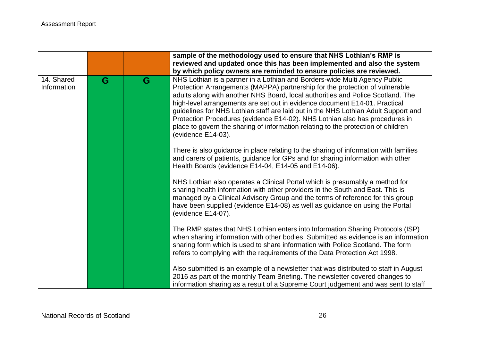|                           |   |   | sample of the methodology used to ensure that NHS Lothian's RMP is<br>reviewed and updated once this has been implemented and also the system<br>by which policy owners are reminded to ensure policies are reviewed.                                                                                                                                                                                                                                                                                                                                                                                       |
|---------------------------|---|---|-------------------------------------------------------------------------------------------------------------------------------------------------------------------------------------------------------------------------------------------------------------------------------------------------------------------------------------------------------------------------------------------------------------------------------------------------------------------------------------------------------------------------------------------------------------------------------------------------------------|
| 14. Shared<br>Information | G | G | NHS Lothian is a partner in a Lothian and Borders-wide Multi Agency Public<br>Protection Arrangements (MAPPA) partnership for the protection of vulnerable<br>adults along with another NHS Board, local authorities and Police Scotland. The<br>high-level arrangements are set out in evidence document E14-01. Practical<br>guidelines for NHS Lothian staff are laid out in the NHS Lothian Adult Support and<br>Protection Procedures (evidence E14-02). NHS Lothian also has procedures in<br>place to govern the sharing of information relating to the protection of children<br>(evidence E14-03). |
|                           |   |   | There is also guidance in place relating to the sharing of information with families<br>and carers of patients, guidance for GPs and for sharing information with other<br>Health Boards (evidence E14-04, E14-05 and E14-06).                                                                                                                                                                                                                                                                                                                                                                              |
|                           |   |   | NHS Lothian also operates a Clinical Portal which is presumably a method for<br>sharing health information with other providers in the South and East. This is<br>managed by a Clinical Advisory Group and the terms of reference for this group<br>have been supplied (evidence E14-08) as well as guidance on using the Portal<br>(evidence E14-07).                                                                                                                                                                                                                                                      |
|                           |   |   | The RMP states that NHS Lothian enters into Information Sharing Protocols (ISP)<br>when sharing information with other bodies. Submitted as evidence is an information<br>sharing form which is used to share information with Police Scotland. The form<br>refers to complying with the requirements of the Data Protection Act 1998.                                                                                                                                                                                                                                                                      |
|                           |   |   | Also submitted is an example of a newsletter that was distributed to staff in August<br>2016 as part of the monthly Team Briefing. The newsletter covered changes to<br>information sharing as a result of a Supreme Court judgement and was sent to staff                                                                                                                                                                                                                                                                                                                                                  |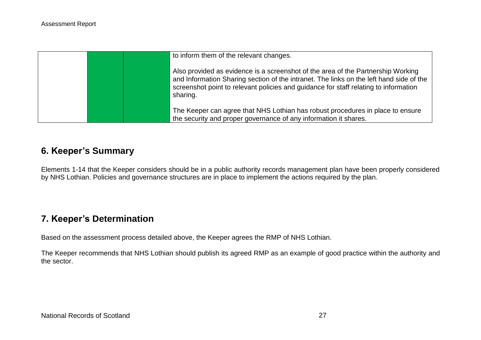| to inform them of the relevant changes.                                                                                                                                                                                                                                         |
|---------------------------------------------------------------------------------------------------------------------------------------------------------------------------------------------------------------------------------------------------------------------------------|
| Also provided as evidence is a screenshot of the area of the Partnership Working<br>and Information Sharing section of the intranet. The links on the left hand side of the<br>screenshot point to relevant policies and guidance for staff relating to information<br>sharing. |
| The Keeper can agree that NHS Lothian has robust procedures in place to ensure<br>the security and proper governance of any information it shares.                                                                                                                              |

## **6. Keeper's Summary**

Elements 1-14 that the Keeper considers should be in a public authority records management plan have been properly considered by NHS Lothian. Policies and governance structures are in place to implement the actions required by the plan.

# **7. Keeper's Determination**

Based on the assessment process detailed above, the Keeper agrees the RMP of NHS Lothian.

The Keeper recommends that NHS Lothian should publish its agreed RMP as an example of good practice within the authority and the sector.